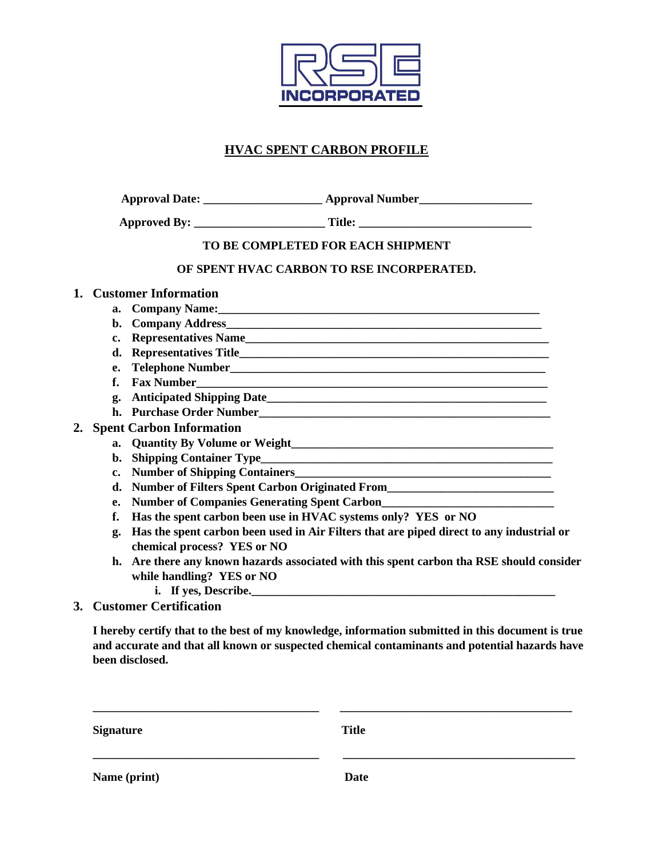

# **HVAC SPENT CARBON PROFILE**

| <b>Approved By:</b> | <b>TIME</b> |
|---------------------|-------------|
|---------------------|-------------|

#### **TO BE COMPLETED FOR EACH SHIPMENT**

### **OF SPENT HVAC CARBON TO RSE INCORPERATED.**

#### **1. Customer Information**

- **a. Company Name:\_\_\_\_\_\_\_\_\_\_\_\_\_\_\_\_\_\_\_\_\_\_\_\_\_\_\_\_\_\_\_\_\_\_\_\_\_\_\_\_\_\_\_\_\_\_\_\_\_\_\_\_\_\_**
- **b. Company Address\_\_\_\_\_\_\_\_\_\_\_\_\_\_\_\_\_\_\_\_\_\_\_\_\_\_\_\_\_\_\_\_\_\_\_\_\_\_\_\_\_\_\_\_\_\_\_\_\_\_\_\_\_**
- **c. Representatives Name\_\_\_\_\_\_\_\_\_\_\_\_\_\_\_\_\_\_\_\_\_\_\_\_\_\_\_\_\_\_\_\_\_\_\_\_\_\_\_\_\_\_\_\_\_\_\_\_\_\_\_**
- d. Representatives Title
- **e. Telephone Number\_\_\_\_\_\_\_\_\_\_\_\_\_\_\_\_\_\_\_\_\_\_\_\_\_\_\_\_\_\_\_\_\_\_\_\_\_\_\_\_\_\_\_\_\_\_\_\_\_\_\_\_\_**
- **f.** Fax Number
- **g. Anticipated Shipping Date\_\_\_\_\_\_\_\_\_\_\_\_\_\_\_\_\_\_\_\_\_\_\_\_\_\_\_\_\_\_\_\_\_\_\_\_\_\_\_\_\_\_\_\_\_\_\_**
- **h. Purchase Order Number\_\_\_\_\_\_\_\_\_\_\_\_\_\_\_\_\_\_\_\_\_\_\_\_\_\_\_\_\_\_\_\_\_\_\_\_\_\_\_\_\_\_\_\_\_\_\_\_\_**

### **2. Spent Carbon Information**

- **a.** Quantity By Volume or Weight
- **b. Shipping Container Type\_\_\_\_\_\_\_\_\_\_\_\_\_\_\_\_\_\_\_\_\_\_\_\_\_\_\_\_\_\_\_\_\_\_\_\_\_\_\_\_\_\_\_\_\_\_\_\_\_**
- **c. Number of Shipping Containers\_\_\_\_\_\_\_\_\_\_\_\_\_\_\_\_\_\_\_\_\_\_\_\_\_\_\_\_\_\_\_\_\_\_\_\_\_\_\_\_\_\_\_**
- **d. Number of Filters Spent Carbon Originated From\_\_\_\_\_\_\_\_\_\_\_\_\_\_\_\_\_\_\_\_\_\_\_\_\_\_\_\_**
- **e.** Number of Companies Generating Spent Carbon
- **f. Has the spent carbon been use in HVAC systems only? YES or NO**
- **g. Has the spent carbon been used in Air Filters that are piped direct to any industrial or chemical process? YES or NO**
- **h. Are there any known hazards associated with this spent carbon tha RSE should consider while handling? YES or NO**
	- **i.** If yes, Describe.
- **3. Customer Certification**

**I hereby certify that to the best of my knowledge, information submitted in this document is true and accurate and that all known or suspected chemical contaminants and potential hazards have been disclosed.**

| <b>Signature</b> | <b>Title</b> |
|------------------|--------------|
| Name (print)     | <b>Date</b>  |